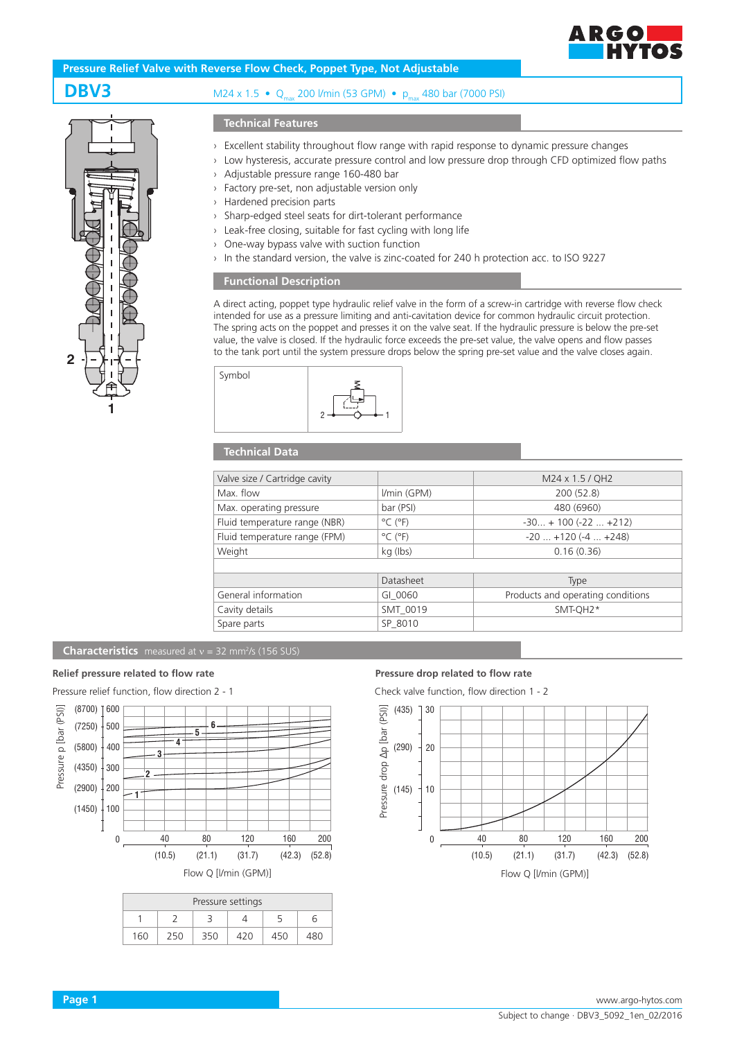

# **Pressure Relief Valve with Reverse Flow Check, Poppet Type, Not Adjustable**



# **DBV3** M24 x 1.5 • Qmax 200 l/min (53 GPM) • pmax 480 bar (7000 PSI)

### **Technical Features**

- › Excellent stability throughout flow range with rapid response to dynamic pressure changes
- › Low hysteresis, accurate pressure control and low pressure drop through CFD optimized flow paths
- › Adjustable pressure range 160-480 bar
- › Factory pre-set, non adjustable version only
- › Hardened precision parts
- › Sharp-edged steel seats for dirt-tolerant performance
- › Leak-free closing, suitable for fast cycling with long life
- › One-way bypass valve with suction function
- › In the standard version, the valve is zinc-coated for 240 h protection acc. to ISO 9227

## **Functional Description**

A direct acting, poppet type hydraulic relief valve in the form of a screw-in cartridge with reverse flow check intended for use as a pressure limiting and anti-cavitation device for common hydraulic circuit protection. The spring acts on the poppet and presses it on the valve seat. If the hydraulic pressure is below the pre-set value, the valve is closed. If the hydraulic force exceeds the pre-set value, the valve opens and flow passes to the tank port until the system pressure drops below the spring pre-set value and the valve closes again.



## **Technical Data**

| Valve size / Cartridge cavity |                              | M24 x 1.5 / QH2                   |  |
|-------------------------------|------------------------------|-----------------------------------|--|
| Max. flow                     | I/min (GPM)                  | 200 (52.8)                        |  |
| Max. operating pressure       | bar (PSI)                    | 480 (6960)                        |  |
| Fluid temperature range (NBR) | $^{\circ}$ C ( $^{\circ}$ F) | $-30 + 100 (-22  +212)$           |  |
| Fluid temperature range (FPM) | $^{\circ}$ C ( $^{\circ}$ F) | $-20$ $+120$ ( $-4$ $+248$ )      |  |
| Weight                        | kg (lbs)                     | 0.16(0.36)                        |  |
|                               |                              |                                   |  |
|                               | Datasheet                    | <b>Type</b>                       |  |
| General information           | GI 0060                      | Products and operating conditions |  |
| Cavity details                | SMT 0019                     | SMT-QH2*                          |  |
| Spare parts                   | SP 8010                      |                                   |  |
|                               |                              |                                   |  |

### **Characteristics** measured at  $v = 32$  mm<sup>2</sup>/s (156 SUS)



| Pressure settings |  |     |       |  |  |  |  |
|-------------------|--|-----|-------|--|--|--|--|
|                   |  |     |       |  |  |  |  |
| 160               |  | 350 | ⁄1 ว∩ |  |  |  |  |

#### **Relief pressure related to flow rate Pressure drop related to flow rate**